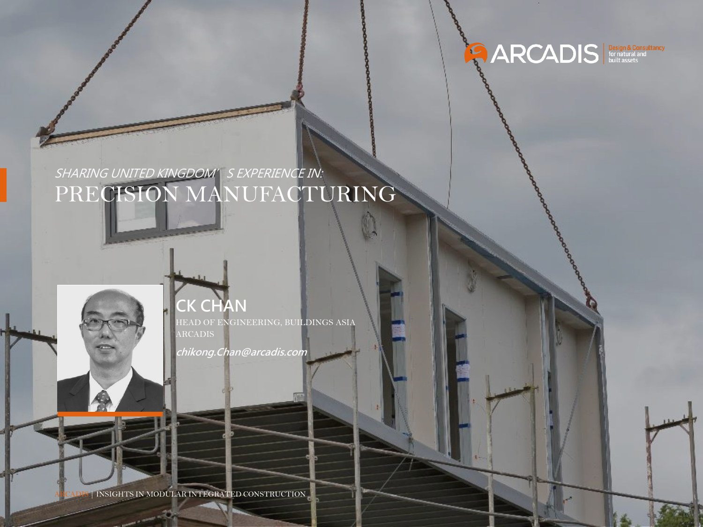

#### SHARING UNITED KINGDOM' S EXPERIENCE IN: PRECISION MANUFACTURING

**CK CHAN**

HEAD OF ENGINEERING, BUILDINGS ASIA ARCADIS

**chikong.Chan@arcadis.com**

 $\parallel$ INSIGHTS IN MODULAR INTEGRATED CONSTRUCTION

 $A = \frac{1}{2}$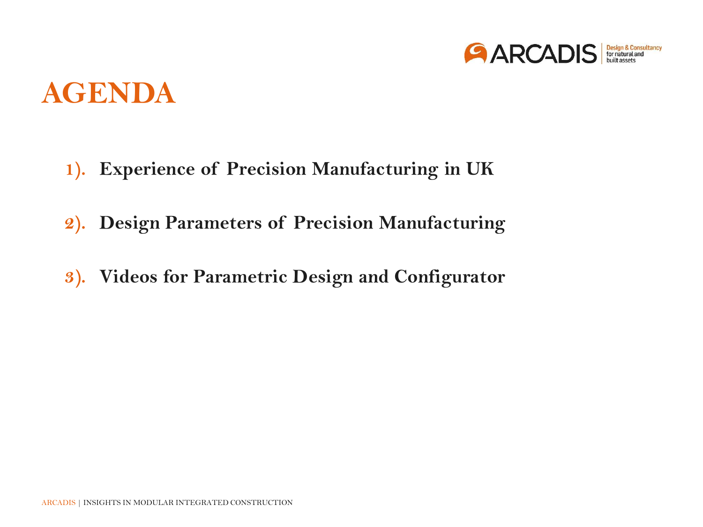

#### **AGENDA**

- **1). Experience of Precision Manufacturing in UK**
- **2). Design Parameters of Precision Manufacturing**
- **3). Videos for Parametric Design and Configurator**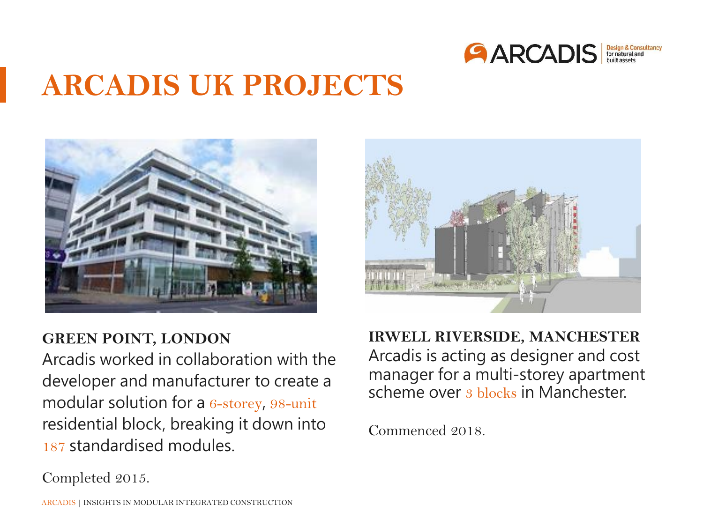

#### **ARCADIS UK PROJECTS**





#### **GREEN POINT, LONDON**

Arcadis worked in collaboration with the developer and manufacturer to create a modular solution for a 6-storey, 98-unit residential block, breaking it down into 187 standardised modules.

**IRWELL RIVERSIDE, MANCHESTER**  Arcadis is acting as designer and cost manager for a multi-storey apartment scheme over 3 blocks in Manchester.

Commenced 2018.

Completed 2015.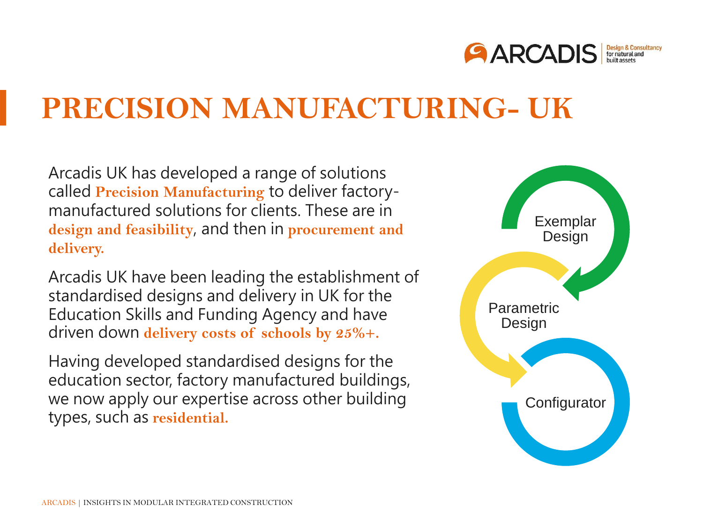

#### **PRECISION MANUFACTURING- UK**

Arcadis UK has developed a range of solutions called **Precision Manufacturing** to deliver factorymanufactured solutions for clients. These are in **design and feasibility**, and then in **procurement and delivery.** 

Arcadis UK have been leading the establishment of standardised designs and delivery in UK for the Education Skills and Funding Agency and have driven down **delivery costs of schools by 25%+.** 

Having developed standardised designs for the education sector, factory manufactured buildings, we now apply our expertise across other building types, such as **residential.**

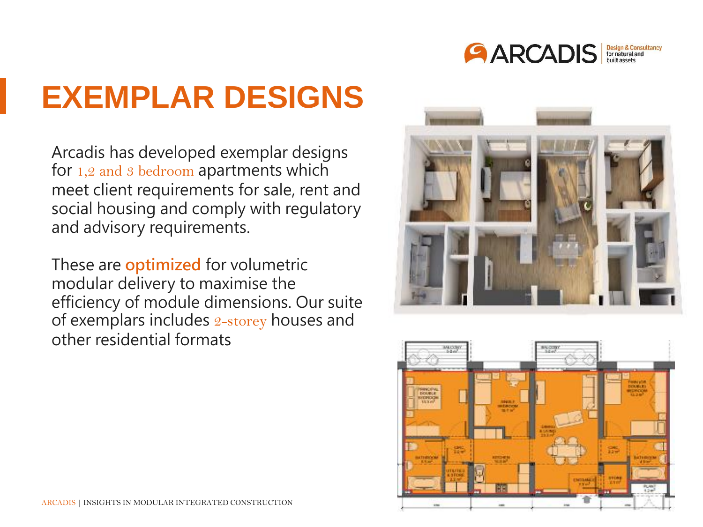

# **EXEMPLAR DESIGNS**

Arcadis has developed exemplar designs for 1,2 and 3 bedroom apartments which meet client requirements for sale, rent and social housing and comply with regulatory and advisory requirements.

These are **optimized** for volumetric modular delivery to maximise the efficiency of module dimensions. Our suite of exemplars includes 2-storey houses and other residential formats



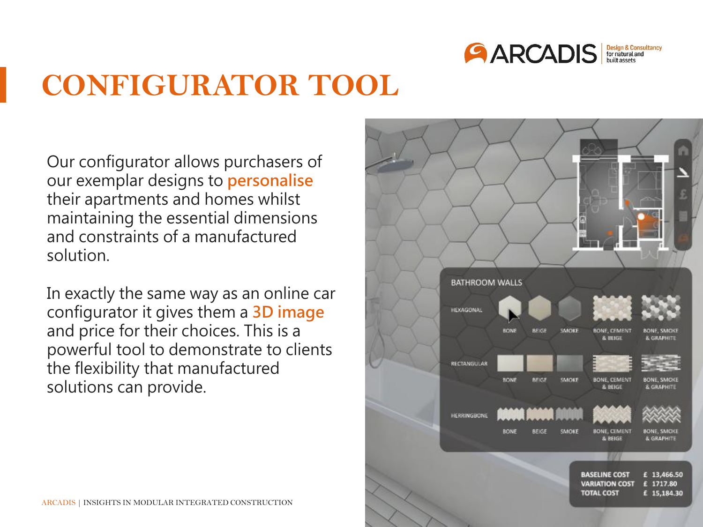

## **CONFIGURATOR TOOL**

Our configurator allows purchasers of our exemplar designs to **personalise** their apartments and homes whilst maintaining the essential dimensions and constraints of a manufactured solution.

In exactly the same way as an online car configurator it gives them a **3D image**  and price for their choices. This is a powerful tool to demonstrate to clients the flexibility that manufactured solutions can provide.

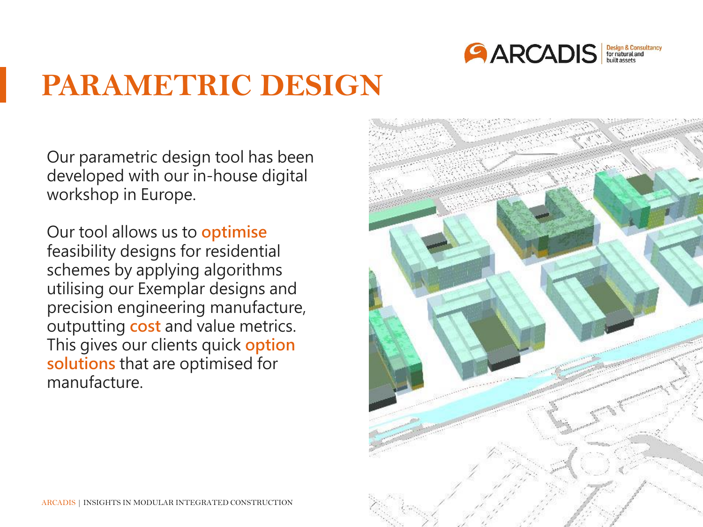

### **PARAMETRIC DESIGN**

Our parametric design tool has been developed with our in-house digital workshop in Europe.

Our tool allows us to **optimise** feasibility designs for residential schemes by applying algorithms utilising our Exemplar designs and precision engineering manufacture, outputting **cost** and value metrics. This gives our clients quick **option solutions** that are optimised for manufacture.

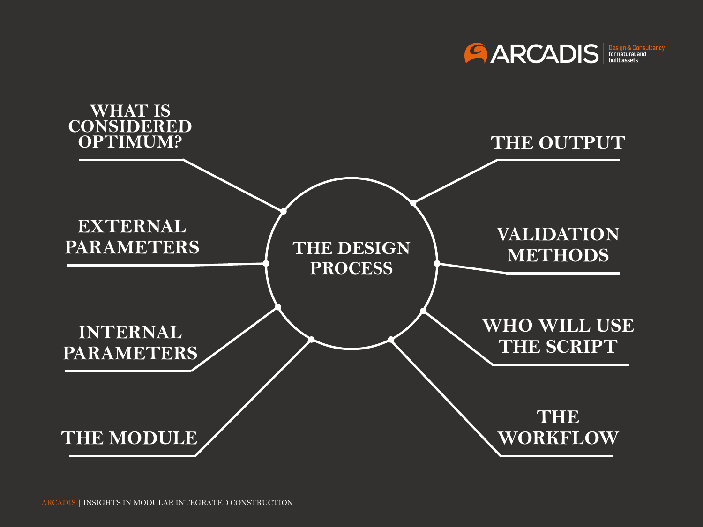

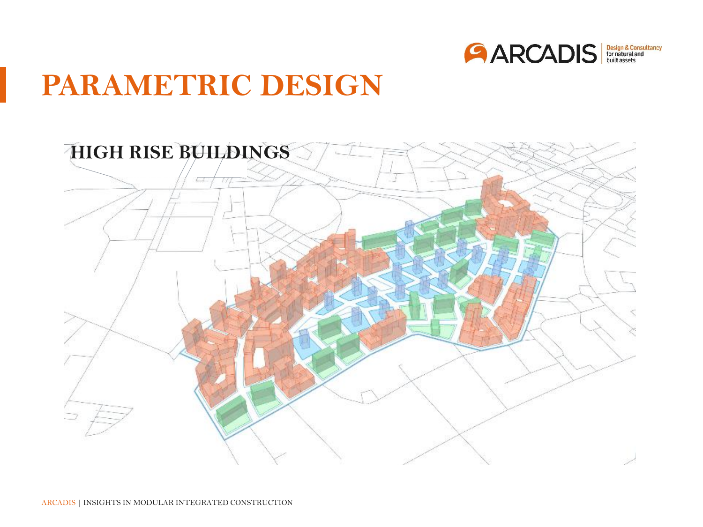

## **PARAMETRIC DESIGN**